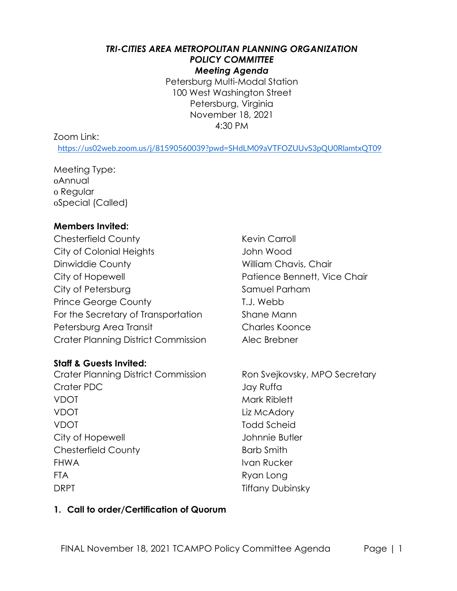#### *TRI-CITIES AREA METROPOLITAN PLANNING ORGANIZATION*  **POLICY COMMITTEE** *Meeting Agenda*

Petersburg Multi-Modal Station 100 West Washington Street Petersburg, Virginia November 18, 2021 4:30 PM

#### Zoom Link:

<https://us02web.zoom.us/j/81590560039?pwd=SHdLM09aVTFOZUUvS3pQU0RlamtxQT09>

Meeting Type: oAnnual o Regular oSpecial (Called)

#### **Members Invited:**

Chesterfield County **Kevin Carroll** Kevin Carroll City of Colonial Heights John Wood Dinwiddie County **William Chavis, Chair** City of Hopewell **City of Hopewell Patience Bennett**, Vice Chair City of Petersburg Samuel Parham Prince George County T.J. Webb For the Secretary of Transportation Shane Mann Petersburg Area Transit Charles Koonce Crater Planning District Commission Alec Brebner

#### **Staff & Guests Invited:**

Crater Planning District Commission Ron Svejkovsky, MPO Secretary Crater PDC Jay Ruffa VDOT Mark Riblett VDOT Liz McAdory VDOT Todd Scheid City of Hopewell **City of Hopewell** Chesterfield County **Barb Smith** FHWA Ivan Rucker FTA Ryan Long DRPT Tiffany Dubinsky

#### **1. Call to order/Certification of Quorum**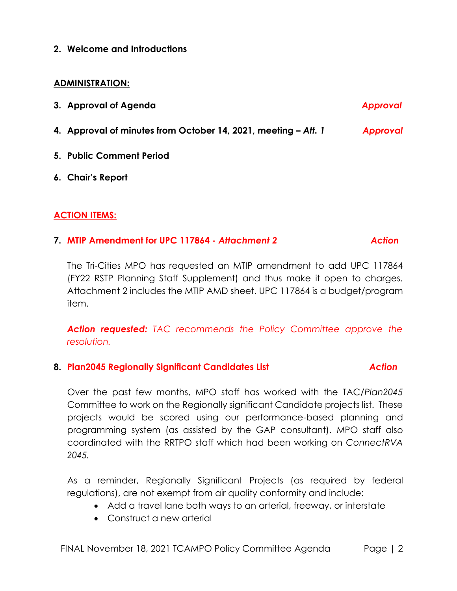**2. Welcome and Introductions**

#### **ADMINISTRATION:**

| 3. Approval of Agenda                                          | <b>Approval</b> |
|----------------------------------------------------------------|-----------------|
| 4. Approval of minutes from October 14, 2021, meeting - Att. 1 | Approval        |
| 5. Public Comment Period                                       |                 |
| 6. Chair's Report                                              |                 |

# **ACTION ITEMS:**

#### **7. MTIP Amendment for UPC 117864 -** *Attachment 2**Action*

The Tri-Cities MPO has requested an MTIP amendment to add UPC 117864 (FY22 RSTP Planning Staff Supplement) and thus make it open to charges. Attachment 2 includes the MTIP AMD sheet. UPC 117864 is a budget/program item.

*Action requested: TAC recommends the Policy Committee approve the resolution.*

## **8. Plan2045 Regionally Significant Candidates List** *Action*

Over the past few months, MPO staff has worked with the TAC/*Plan2045*  Committee to work on the Regionally significant Candidate projects list. These projects would be scored using our performance-based planning and programming system (as assisted by the GAP consultant). MPO staff also coordinated with the RRTPO staff which had been working on *ConnectRVA 2045.*

As a reminder, Regionally Significant Projects (as required by federal regulations), are not exempt from air quality conformity and include:

- Add a travel lane both ways to an arterial, freeway, or interstate
- Construct a new arterial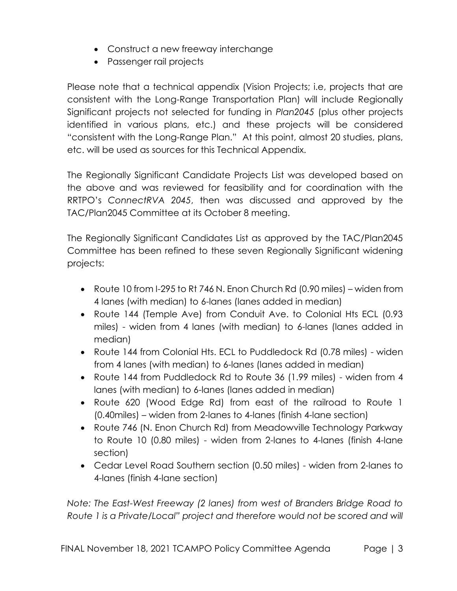- Construct a new freeway interchange
- Passenger rail projects

Please note that a technical appendix (Vision Projects; i.e, projects that are consistent with the Long-Range Transportation Plan) will include Regionally Significant projects not selected for funding in *Plan2045* (plus other projects identified in various plans, etc.) and these projects will be considered "consistent with the Long-Range Plan." At this point, almost 20 studies, plans, etc. will be used as sources for this Technical Appendix.

The Regionally Significant Candidate Projects List was developed based on the above and was reviewed for feasibility and for coordination with the RRTPO's *ConnectRVA 2045*, then was discussed and approved by the TAC/Plan2045 Committee at its October 8 meeting.

The Regionally Significant Candidates List as approved by the TAC/Plan2045 Committee has been refined to these seven Regionally Significant widening projects:

- Route 10 from I-295 to Rt 746 N. Enon Church Rd (0.90 miles) widen from 4 lanes (with median) to 6-lanes (lanes added in median)
- Route 144 (Temple Ave) from Conduit Ave. to Colonial Hts ECL (0.93 miles) - widen from 4 lanes (with median) to 6-lanes (lanes added in median)
- Route 144 from Colonial Hts. ECL to Puddledock Rd (0.78 miles) widen from 4 lanes (with median) to 6-lanes (lanes added in median)
- Route 144 from Puddledock Rd to Route 36 (1.99 miles) widen from 4 lanes (with median) to 6-lanes (lanes added in median)
- Route 620 (Wood Edge Rd) from east of the railroad to Route 1 (0.40miles) – widen from 2-lanes to 4-lanes (finish 4-lane section)
- Route 746 (N. Enon Church Rd) from Meadowville Technology Parkway to Route 10 (0.80 miles) - widen from 2-lanes to 4-lanes (finish 4-lane section)
- Cedar Level Road Southern section (0.50 miles) widen from 2-lanes to 4-lanes (finish 4-lane section)

*Note: The East-West Freeway (2 lanes) from west of Branders Bridge Road to Route 1 is a Private/Local" project and therefore would not be scored and will*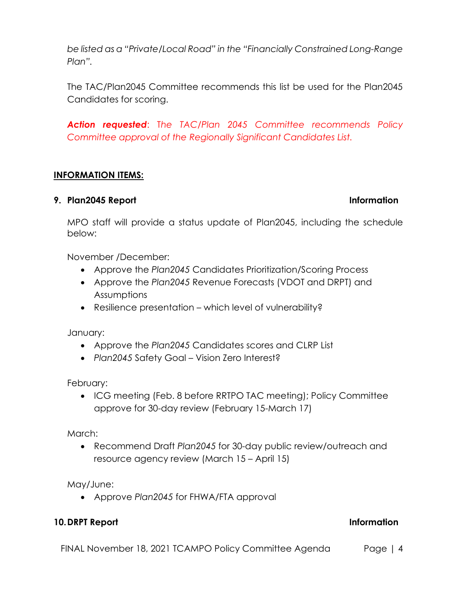*be listed as a "Private/Local Road" in the "Financially Constrained Long-Range Plan".*

The TAC/Plan2045 Committee recommends this list be used for the Plan2045 Candidates for scoring.

*Action requested*: T*he TAC/Plan 2045 Committee recommends Policy Committee approval of the Regionally Significant Candidates List.*

# **INFORMATION ITEMS:**

### **9. Plan2045 Report Information**

MPO staff will provide a status update of Plan2045, including the schedule below:

November /December:

- Approve the *Plan2045* Candidates Prioritization/Scoring Process
- Approve the *Plan2045* Revenue Forecasts (VDOT and DRPT) and Assumptions
- Resilience presentation which level of vulnerability?

January:

- Approve the *Plan2045* Candidates scores and CLRP List
- *Plan2045* Safety Goal Vision Zero Interest?

February:

• ICG meeting (Feb. 8 before RRTPO TAC meeting); Policy Committee approve for 30-day review (February 15-March 17)

March:

• Recommend Draft *Plan2045* for 30-day public review/outreach and resource agency review (March 15 – April 15)

May/June:

• Approve *Plan2045* for FHWA/FTA approval

# **10.DRPT Report Information**

FINAL November 18, 2021 TCAMPO Policy Committee Agenda Page | 4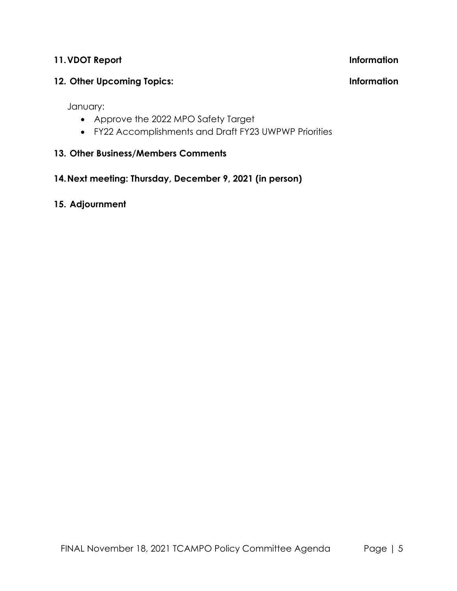### **11.VDOT Report Information**

# **12. Other Upcoming Topics: Information**

January:

- Approve the 2022 MPO Safety Target
- FY22 Accomplishments and Draft FY23 UWPWP Priorities

# **13. Other Business/Members Comments**

# **14.Next meeting: Thursday, December 9, 2021 (in person)**

# **15. Adjournment**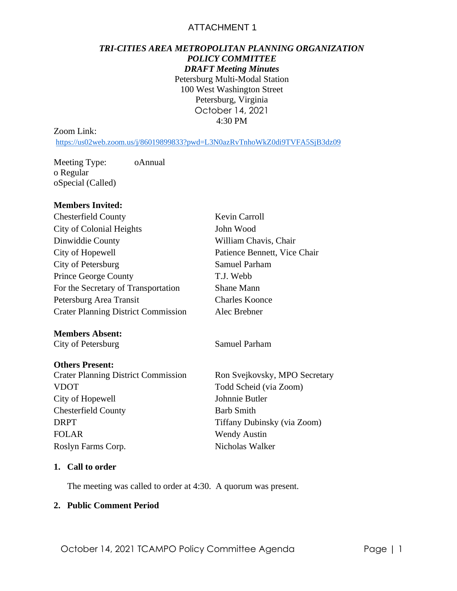### ATTACHMENT 1

# *TRI-CITIES AREA METROPOLITAN PLANNING ORGANIZATION POLICY COMMITTEE*

*DRAFT Meeting Minutes* Petersburg Multi-Modal Station 100 West Washington Street Petersburg, Virginia October 14, 2021 4:30 PM

#### Zoom Link:

<https://us02web.zoom.us/j/86019899833?pwd=L3N0azRvTnhoWkZ0di9TVFA5SjB3dz09>

Meeting Type: oAnnual o Regular oSpecial (Called)

#### **Members Invited:**

| <b>Chesterfield County</b>                 | Kevin Carroll                 |  |  |  |
|--------------------------------------------|-------------------------------|--|--|--|
| City of Colonial Heights                   | John Wood                     |  |  |  |
| Dinwiddie County                           | William Chavis, Chair         |  |  |  |
| City of Hopewell                           | Patience Bennett, Vice Chair  |  |  |  |
| City of Petersburg                         | <b>Samuel Parham</b>          |  |  |  |
| <b>Prince George County</b>                | T.J. Webb                     |  |  |  |
| For the Secretary of Transportation        | <b>Shane Mann</b>             |  |  |  |
| Petersburg Area Transit                    | <b>Charles Koonce</b>         |  |  |  |
| <b>Crater Planning District Commission</b> | Alec Brebner                  |  |  |  |
| <b>Members Absent:</b>                     |                               |  |  |  |
| City of Petersburg                         | <b>Samuel Parham</b>          |  |  |  |
| <b>Others Present:</b>                     |                               |  |  |  |
| <b>Crater Planning District Commission</b> | Ron Svejkovsky, MPO Secretary |  |  |  |
| <b>VDOT</b>                                | Todd Scheid (via Zoom)        |  |  |  |
| City of Hopewell                           | Johnnie Butler                |  |  |  |
| <b>Chesterfield County</b>                 | <b>Barb Smith</b>             |  |  |  |
| <b>DRPT</b>                                | Tiffany Dubinsky (via Zoom)   |  |  |  |
| <b>FOLAR</b>                               | <b>Wendy Austin</b>           |  |  |  |

#### **1. Call to order**

The meeting was called to order at 4:30. A quorum was present.

Roslyn Farms Corp. Nicholas Walker

#### **2. Public Comment Period**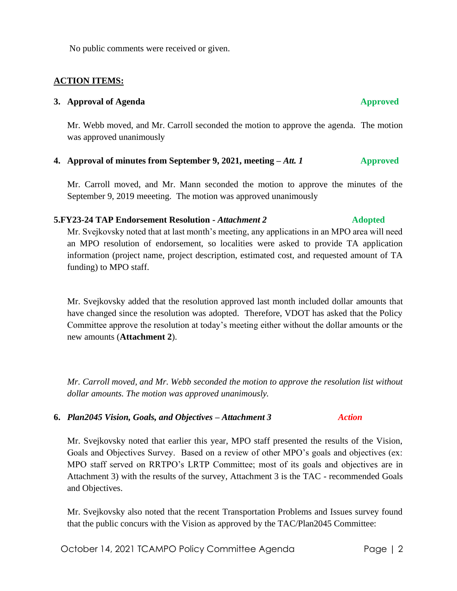No public comments were received or given.

#### **ACTION ITEMS:**

#### **3.** Approval of Agenda **Approved**

Mr. Webb moved, and Mr. Carroll seconded the motion to approve the agenda. The motion was approved unanimously

#### **4. Approval of minutes from September 9, 2021, meeting –** *Att. 1* **Approved**

Mr. Carroll moved, and Mr. Mann seconded the motion to approve the minutes of the September 9, 2019 meeeting. The motion was approved unanimously

#### **5.FY23-24 TAP Endorsement Resolution -** *Attachment 2* **Adopted**

Mr. Svejkovsky noted that at last month's meeting, any applications in an MPO area will need an MPO resolution of endorsement, so localities were asked to provide TA application information (project name, project description, estimated cost, and requested amount of TA funding) to MPO staff.

Mr. Svejkovsky added that the resolution approved last month included dollar amounts that have changed since the resolution was adopted. Therefore, VDOT has asked that the Policy Committee approve the resolution at today's meeting either without the dollar amounts or the new amounts (**Attachment 2**).

*Mr. Carroll moved, and Mr. Webb seconded the motion to approve the resolution list without dollar amounts. The motion was approved unanimously.*

#### **6.** *Plan2045 Vision, Goals, and Objectives – Attachment 3 Action*

Mr. Svejkovsky noted that earlier this year, MPO staff presented the results of the Vision, Goals and Objectives Survey. Based on a review of other MPO's goals and objectives (ex: MPO staff served on RRTPO's LRTP Committee; most of its goals and objectives are in Attachment 3) with the results of the survey, Attachment 3 is the TAC - recommended Goals and Objectives.

Mr. Svejkovsky also noted that the recent Transportation Problems and Issues survey found that the public concurs with the Vision as approved by the TAC/Plan2045 Committee: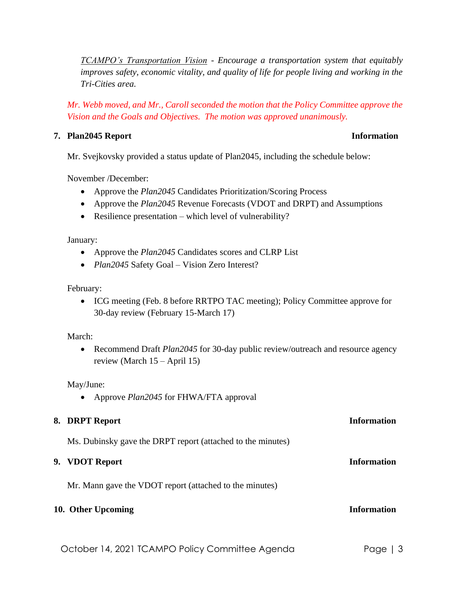*TCAMPO's Transportation Vision - Encourage a transportation system that equitably improves safety, economic vitality, and quality of life for people living and working in the Tri-Cities area.*

*Mr. Webb moved, and Mr., Caroll seconded the motion that the Policy Committee approve the Vision and the Goals and Objectives. The motion was approved unanimously.*

#### **7. Plan2045 Report Information**

Mr. Svejkovsky provided a status update of Plan2045, including the schedule below:

November /December:

- Approve the *Plan2045* Candidates Prioritization/Scoring Process
- Approve the *Plan2045* Revenue Forecasts (VDOT and DRPT) and Assumptions
- Resilience presentation which level of vulnerability?

January:

- Approve the *Plan2045* Candidates scores and CLRP List
- *Plan2045* Safety Goal Vision Zero Interest?

February:

• ICG meeting (Feb. 8 before RRTPO TAC meeting); Policy Committee approve for 30-day review (February 15-March 17)

#### March:

• Recommend Draft *Plan2045* for 30-day public review/outreach and resource agency review (March 15 – April 15)

May/June:

• Approve *Plan2045* for FHWA/FTA approval

# **8. DRPT Report Information** Ms. Dubinsky gave the DRPT report (attached to the minutes) **9. VDOT Report Information** Mr. Mann gave the VDOT report (attached to the minutes) **10. Other Upcoming Information**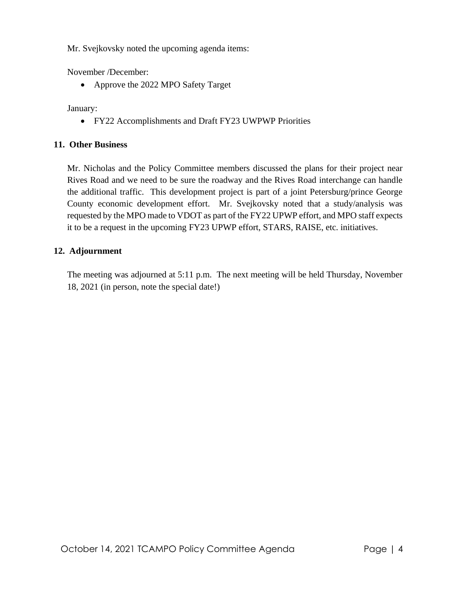Mr. Svejkovsky noted the upcoming agenda items:

November /December:

• Approve the 2022 MPO Safety Target

January:

• FY22 Accomplishments and Draft FY23 UWPWP Priorities

### **11. Other Business**

Mr. Nicholas and the Policy Committee members discussed the plans for their project near Rives Road and we need to be sure the roadway and the Rives Road interchange can handle the additional traffic. This development project is part of a joint Petersburg/prince George County economic development effort. Mr. Svejkovsky noted that a study/analysis was requested by the MPO made to VDOT as part of the FY22 UPWP effort, and MPO staff expects it to be a request in the upcoming FY23 UPWP effort, STARS, RAISE, etc. initiatives.

### **12. Adjournment**

The meeting was adjourned at 5:11 p.m. The next meeting will be held Thursday, November 18, 2021 (in person, note the special date!)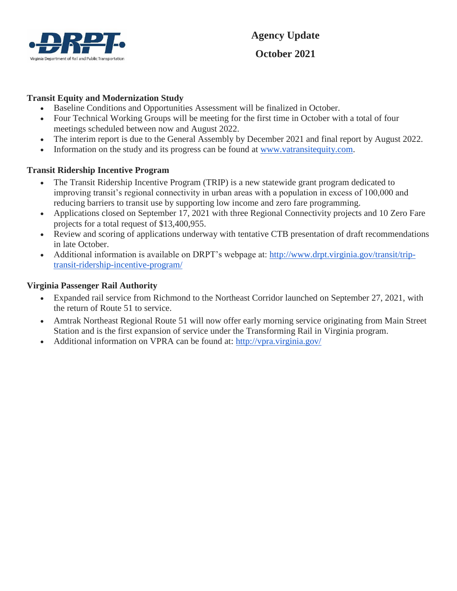

### **Transit Equity and Modernization Study**

- Baseline Conditions and Opportunities Assessment will be finalized in October.
- Four Technical Working Groups will be meeting for the first time in October with a total of four meetings scheduled between now and August 2022.
- The interim report is due to the General Assembly by December 2021 and final report by August 2022.
- Information on the study and its progress can be found at www.vatransitequity.com.

### **Transit Ridership Incentive Program**

- The Transit Ridership Incentive Program (TRIP) is a new statewide grant program dedicated to improving transit's regional connectivity in urban areas with a population in excess of 100,000 and reducing barriers to transit use by supporting low income and zero fare programming.
- Applications closed on September 17, 2021 with three Regional Connectivity projects and 10 Zero Fare projects for a total request of \$13,400,955.
- Review and scoring of applications underway with tentative CTB presentation of draft recommendations in late October.
- Additional information is available on DRPT's webpage at: http://www.drpt.virginia.gov/transit/triptransit-ridership-incentive-program/

#### **Virginia Passenger Rail Authority**

- Expanded rail service from Richmond to the Northeast Corridor launched on September 27, 2021, with the return of Route 51 to service.
- Amtrak Northeast Regional Route 51 will now offer early morning service originating from Main Street Station and is the first expansion of service under the Transforming Rail in Virginia program.
- Additional information on VPRA can be found at: http://vpra.virginia.gov/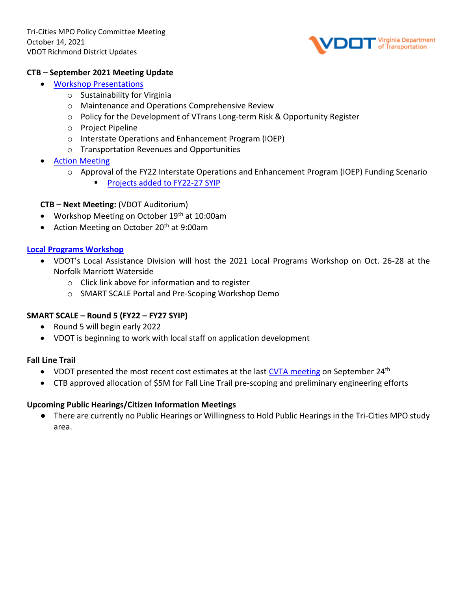

#### **CTB – September 2021 Meeting Update**

- [Workshop Presentations](about:blank)
	- o Sustainability for Virginia
	- o Maintenance and Operations Comprehensive Review
	- $\circ$  Policy for the Development of VTrans Long-term Risk & Opportunity Register
	- o Project Pipeline
	- o Interstate Operations and Enhancement Program (IOEP)
	- o Transportation Revenues and Opportunities
- **[Action Meeting](about:blank)** 
	- o Approval of the FY22 Interstate Operations and Enhancement Program (IOEP) Funding Scenario
		- Projects added to FY22-27 SYIP

#### **CTB – Next Meeting:** (VDOT Auditorium)

- Workshop Meeting on October 19<sup>th</sup> at 10:00am
- Action Meeting on October 20<sup>th</sup> at 9:00am

#### **[Local Programs Workshop](about:blank)**

- VDOT's Local Assistance Division will host the 2021 Local Programs Workshop on Oct. 26-28 at the Norfolk Marriott Waterside
	- o Click link above for information and to register
	- o SMART SCALE Portal and Pre-Scoping Workshop Demo

#### **SMART SCALE – Round 5 (FY22 – FY27 SYIP)**

- Round 5 will begin early 2022
- VDOT is beginning to work with local staff on application development

#### **Fall Line Trail**

- VDOT presented the most recent cost estimates at the last [CVTA meeting](about:blank) on September 24<sup>th</sup>
- CTB approved allocation of \$5M for Fall Line Trail pre-scoping and preliminary engineering efforts

#### **Upcoming Public Hearings/Citizen Information Meetings**

● There are currently no Public Hearings or Willingness to Hold Public Hearings in the Tri-Cities MPO study area.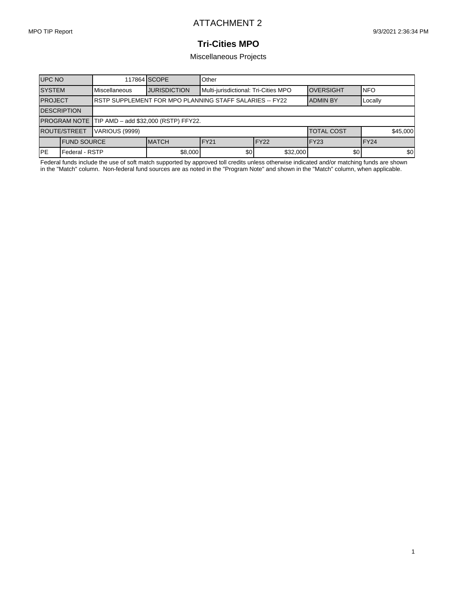1

### **Tri-Cities MPO**

Miscellaneous Projects

| <b>UPC NO</b>                |                     |                                                                | 117864 SCOPE        | Other                                |                  |                                 |         |          |  |  |
|------------------------------|---------------------|----------------------------------------------------------------|---------------------|--------------------------------------|------------------|---------------------------------|---------|----------|--|--|
| <b>SYSTEM</b>                |                     | Miscellaneous                                                  | <b>JURISDICTION</b> | Multi-jurisdictional: Tri-Cities MPO |                  | <b>INFO</b><br><b>OVERSIGHT</b> |         |          |  |  |
| <b>PROJECT</b>               |                     | <b>RSTP SUPPLEMENT FOR MPO PLANNING STAFF SALARIES -- FY22</b> |                     |                                      |                  | <b>ADMIN BY</b>                 | Locally |          |  |  |
| <b>DESCRIPTION</b>           |                     |                                                                |                     |                                      |                  |                                 |         |          |  |  |
|                              |                     | PROGRAM NOTE TIP AMD - add \$32,000 (RSTP) FFY22.              |                     |                                      |                  |                                 |         |          |  |  |
| <b>ROUTE/STREET</b>          |                     | VARIOUS (9999)                                                 |                     |                                      |                  | <b>TOTAL COST</b>               |         | \$45,000 |  |  |
|                              | <b>IFUND SOURCE</b> |                                                                | <b>IMATCH</b>       | FY <sub>21</sub>                     | FY <sub>22</sub> | FY <sub>23</sub>                | IFY24   |          |  |  |
| <b>IPE</b><br>Federal - RSTP |                     |                                                                | \$8,000             | \$0                                  | \$32,000         | \$0                             |         | \$0      |  |  |

Federal funds include the use of soft match supported by approved toll credits unless otherwise indicated and/or matching funds are shown in the "Match" column. Non-federal fund sources are as noted in the "Program Note" and shown in the "Match" column, when applicable.